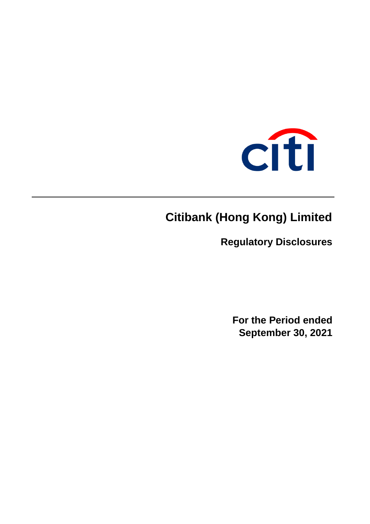

# **Citibank (Hong Kong) Limited**

**Regulatory Disclosures**

**For the Period ended September 30, 2021**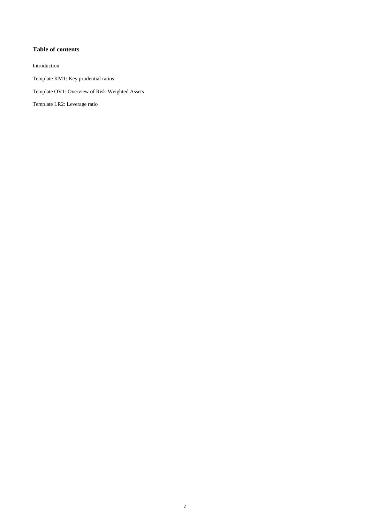#### **Table of contents**

Introduction

Template KM1: Key prudential ratios

Template OV1: Overview of Risk-Weighted Assets

Template LR2: Leverage ratio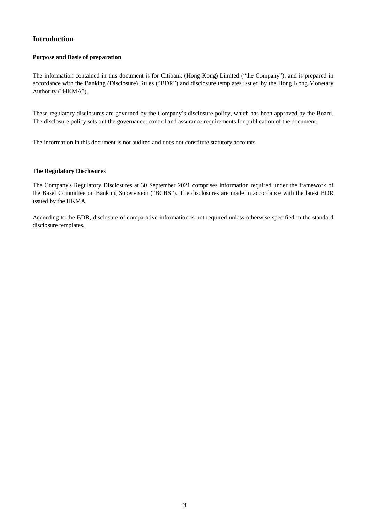# **Introduction**

#### **Purpose and Basis of preparation**

The information contained in this document is for Citibank (Hong Kong) Limited ("the Company"), and is prepared in accordance with the Banking (Disclosure) Rules ("BDR") and disclosure templates issued by the Hong Kong Monetary Authority ("HKMA").

These regulatory disclosures are governed by the Company's disclosure policy, which has been approved by the Board. The disclosure policy sets out the governance, control and assurance requirements for publication of the document.

The information in this document is not audited and does not constitute statutory accounts.

#### **The Regulatory Disclosures**

The Company's Regulatory Disclosures at 30 September 2021 comprises information required under the framework of the Basel Committee on Banking Supervision ("BCBS"). The disclosures are made in accordance with the latest BDR issued by the HKMA.

According to the BDR, disclosure of comparative information is not required unless otherwise specified in the standard disclosure templates.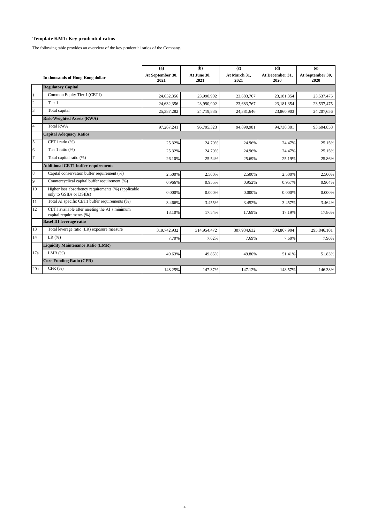## **Template KM1: Key prudential ratios**

The following table provides an overview of the key prudential ratios of the Company.

|                |                                                                                | (a)                      | (b)                 | $\left( \mathbf{c} \right)$ | (d)                     | (e)                      |
|----------------|--------------------------------------------------------------------------------|--------------------------|---------------------|-----------------------------|-------------------------|--------------------------|
|                | In thousands of Hong Kong dollar                                               | At September 30,<br>2021 | At June 30,<br>2021 | At March 31,<br>2021        | At December 31,<br>2020 | At September 30,<br>2020 |
|                | <b>Regulatory Capital</b>                                                      |                          |                     |                             |                         |                          |
| $\mathbf{1}$   | Common Equity Tier 1 (CET1)                                                    | 24,632,356               | 23,990,902          | 23,683,767                  | 23,181,354              | 23,537,475               |
| $\overline{c}$ | Tier 1                                                                         | 24,632,356               | 23,990,902          | 23.683.767                  | 23.181.354              | 23,537,475               |
| 3              | Total capital                                                                  | 25,387,282               | 24,719,835          | 24,381,646                  | 23,860,903              | 24, 207, 656             |
|                | <b>Risk-Weighted Assets (RWA)</b>                                              |                          |                     |                             |                         |                          |
| $\overline{4}$ | <b>Total RWA</b>                                                               | 97,267,241               | 96,795,323          | 94,890,981                  | 94,730,301              | 93,604,858               |
|                | <b>Capital Adequacy Ratios</b>                                                 |                          |                     |                             |                         |                          |
| 5              | CET1 ratio (%)                                                                 | 25.32%                   | 24.79%              | 24.96%                      | 24.47%                  | 25.15%                   |
| 6              | Tier 1 ratio (%)                                                               | 25.32%                   | 24.79%              | 24.96%                      | 24.47%                  | 25.15%                   |
| $\overline{7}$ | Total capital ratio (%)                                                        | 26.10%                   | 25.54%              | 25.69%                      | 25.19%                  | 25.86%                   |
|                | <b>Additional CET1 buffer requirements</b>                                     |                          |                     |                             |                         |                          |
| 8              | Capital conservation buffer requirement (%)                                    | 2.500%                   | 2.500%              | 2.500%                      | 2.500%                  | 2.500%                   |
| 9              | Countercyclical capital buffer requirement (%)                                 | 0.966%                   | 0.955%              | 0.952%                      | 0.957%                  | 0.964%                   |
| 10             | Higher loss absorbency requirements (%) (applicable<br>only to GSIBs or DSIBs) | 0.000%                   | 0.000%              | 0.000%                      | 0.000%                  | 0.000%                   |
| 11             | Total AI specific CET1 buffer requirements (%)                                 | 3.466%                   | 3.455%              | 3.452%                      | 3.457%                  | 3.464%                   |
| 12             | CET1 available after meeting the AI's minimum<br>capital requirements (%)      | 18.10%                   | 17.54%              | 17.69%                      | 17.19%                  | 17.86%                   |
|                | <b>Basel III leverage ratio</b>                                                |                          |                     |                             |                         |                          |
| 13             | Total leverage ratio (LR) exposure measure                                     | 319,742,932              | 314,954,472         | 307,934,632                 | 304,867,904             | 295,846,101              |
| 14             | LR(%)                                                                          | 7.70%                    | 7.62%               | 7.69%                       | 7.60%                   | 7.96%                    |
|                | <b>Liquidity Maintenance Ratio (LMR)</b>                                       |                          |                     |                             |                         |                          |
| 17a            | LMR $(%)$                                                                      | 49.63%                   | 49.85%              | 49.80%                      | 51.41%                  | 51.83%                   |
|                | <b>Core Funding Ratio (CFR)</b>                                                |                          |                     |                             |                         |                          |
| 20a            | CFR(%)                                                                         | 148.25%                  | 147.37%             | 147.12%                     | 148.57%                 | 146.38%                  |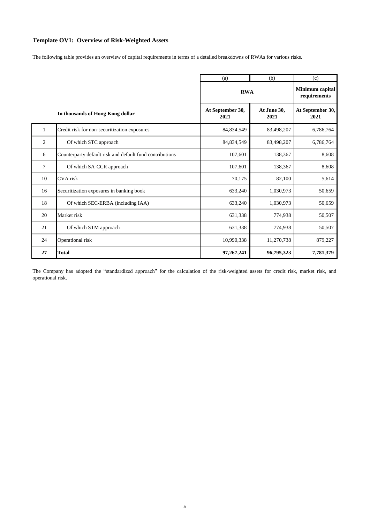#### **Template OV1: Overview of Risk-Weighted Assets**

The following table provides an overview of capital requirements in terms of a detailed breakdowns of RWAs for various risks.

|              |                                                          | (b)<br>(a)               |                     | (c)                             |
|--------------|----------------------------------------------------------|--------------------------|---------------------|---------------------------------|
|              |                                                          | <b>RWA</b>               |                     | Minimum capital<br>requirements |
|              | In thousands of Hong Kong dollar                         | At September 30,<br>2021 | At June 30,<br>2021 | At September 30,<br>2021        |
| $\mathbf{1}$ | Credit risk for non-securitization exposures             | 84,834,549               | 83,498,207          | 6,786,764                       |
| 2            | Of which STC approach                                    | 84,834,549               | 83,498,207          | 6,786,764                       |
| 6            | Counterparty default risk and default fund contributions | 107,601                  | 138,367             | 8,608                           |
| 7            | Of which SA-CCR approach                                 | 107,601                  | 138,367             | 8,608                           |
| 10           | CVA risk                                                 | 70,175                   | 82,100              | 5,614                           |
| 16           | Securitization exposures in banking book                 | 633,240                  | 1,030,973           | 50,659                          |
| 18           | Of which SEC-ERBA (including IAA)                        | 633,240                  | 1,030,973           | 50,659                          |
| 20           | Market risk                                              | 631,338                  | 774,938             | 50,507                          |
| 21           | Of which STM approach                                    | 631,338                  | 774,938             | 50,507                          |
| 24           | Operational risk                                         | 10,990,338               | 11,270,738          | 879,227                         |
| 27           | Total                                                    | 97, 267, 241             | 96,795,323          | 7,781,379                       |

The Company has adopted the "standardized approach" for the calculation of the risk-weighted assets for credit risk, market risk, and operational risk.